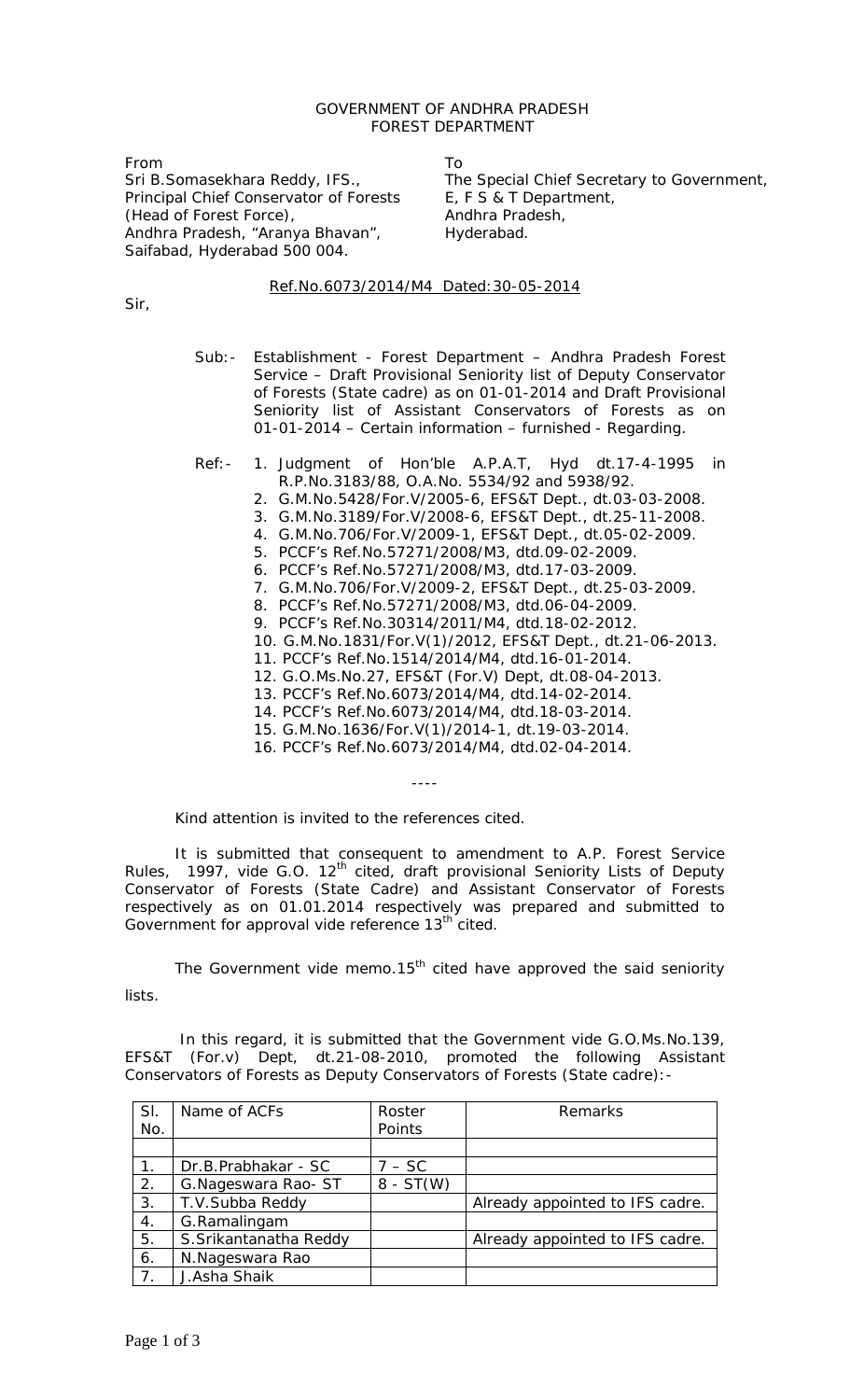## GOVERNMENT OF ANDHRA PRADESH FOREST DEPARTMENT

From Sri B.Somasekhara Reddy, IFS., Principal Chief Conservator of Forests (Head of Forest Force), Andhra Pradesh, "Aranya Bhavan", Saifabad, Hyderabad 500 004.

To

The Special Chief Secretary to Government, E, F S & T Department, Andhra Pradesh, Hyderabad.

## Ref.No.6073/2014/M4 Dated:30-05-2014

Sir,

- Sub:- Establishment Forest Department Andhra Pradesh Forest Service – Draft Provisional Seniority list of Deputy Conservator of Forests (State cadre) as on 01-01-2014 and Draft Provisional Seniority list of Assistant Conservators of Forests as on 01-01-2014 – Certain information – furnished - Regarding.
- Ref:- 1. Judgment of Hon'ble A.P.A.T, Hyd dt.17-4-1995 in
	- R.P.No.3183/88, O.A.No. 5534/92 and 5938/92.
	- 2. G.M.No.5428/For.V/2005-6, EFS&T Dept., dt.03-03-2008.
	- 3. G.M.No.3189/For.V/2008-6, EFS&T Dept., dt.25-11-2008.
	- 4. G.M.No.706/For.V/2009-1, EFS&T Dept., dt.05-02-2009.
	- 5. PCCF's Ref.No.57271/2008/M3, dtd.09-02-2009.
	- 6. PCCF's Ref.No.57271/2008/M3, dtd.17-03-2009.
	- 7. G.M.No.706/For.V/2009-2, EFS&T Dept., dt.25-03-2009.
	- 8. PCCF's Ref.No.57271/2008/M3, dtd.06-04-2009.
	- 9. PCCF's Ref.No.30314/2011/M4, dtd.18-02-2012.
	- 10. G.M.No.1831/For.V(1)/2012, EFS&T Dept., dt.21-06-2013.
	- 11. PCCF's Ref.No.1514/2014/M4, dtd.16-01-2014.
	- 12. G.O.Ms.No.27, EFS&T (For.V) Dept, dt.08-04-2013.
	- 13. PCCF's Ref.No.6073/2014/M4, dtd.14-02-2014.
	- 14. PCCF's Ref.No.6073/2014/M4, dtd.18-03-2014.
	- 15. G.M.No.1636/For.V(1)/2014-1, dt.19-03-2014.
	- 16. PCCF's Ref.No.6073/2014/M4, dtd.02-04-2014.

Kind attention is invited to the references cited.

It is submitted that consequent to amendment to A.P. Forest Service Rules, 1997, vide G.O.  $12<sup>th</sup>$  cited, draft provisional Seniority Lists of Deputy Conservator of Forests (State Cadre) and Assistant Conservator of Forests respectively as on 01.01.2014 respectively was prepared and submitted to Government for approval vide reference 13<sup>th</sup> cited.

----

The Government vide memo.15<sup>th</sup> cited have approved the said seniority lists.

In this regard, it is submitted that the Government vide G.O.Ms.No.139, EFS&T (For.v) Dept, dt.21-08-2010, promoted the following Assistant Conservators of Forests as Deputy Conservators of Forests (State cadre):-

| SI. | Name of ACFs           | Roster      | Remarks                         |
|-----|------------------------|-------------|---------------------------------|
| No. |                        | Points      |                                 |
|     |                        |             |                                 |
|     | Dr.B.Prabhakar - SC    | $7 - SC$    |                                 |
| 2.  | G. Nageswara Rao-ST    | $8 - ST(W)$ |                                 |
| 3.  | T.V.Subba Reddy        |             | Already appointed to IFS cadre. |
| 4.  | G.Ramalingam           |             |                                 |
| 5.  | S. Srikantanatha Reddy |             | Already appointed to IFS cadre. |
| 6.  | N.Nageswara Rao        |             |                                 |
|     | J.Asha Shaik           |             |                                 |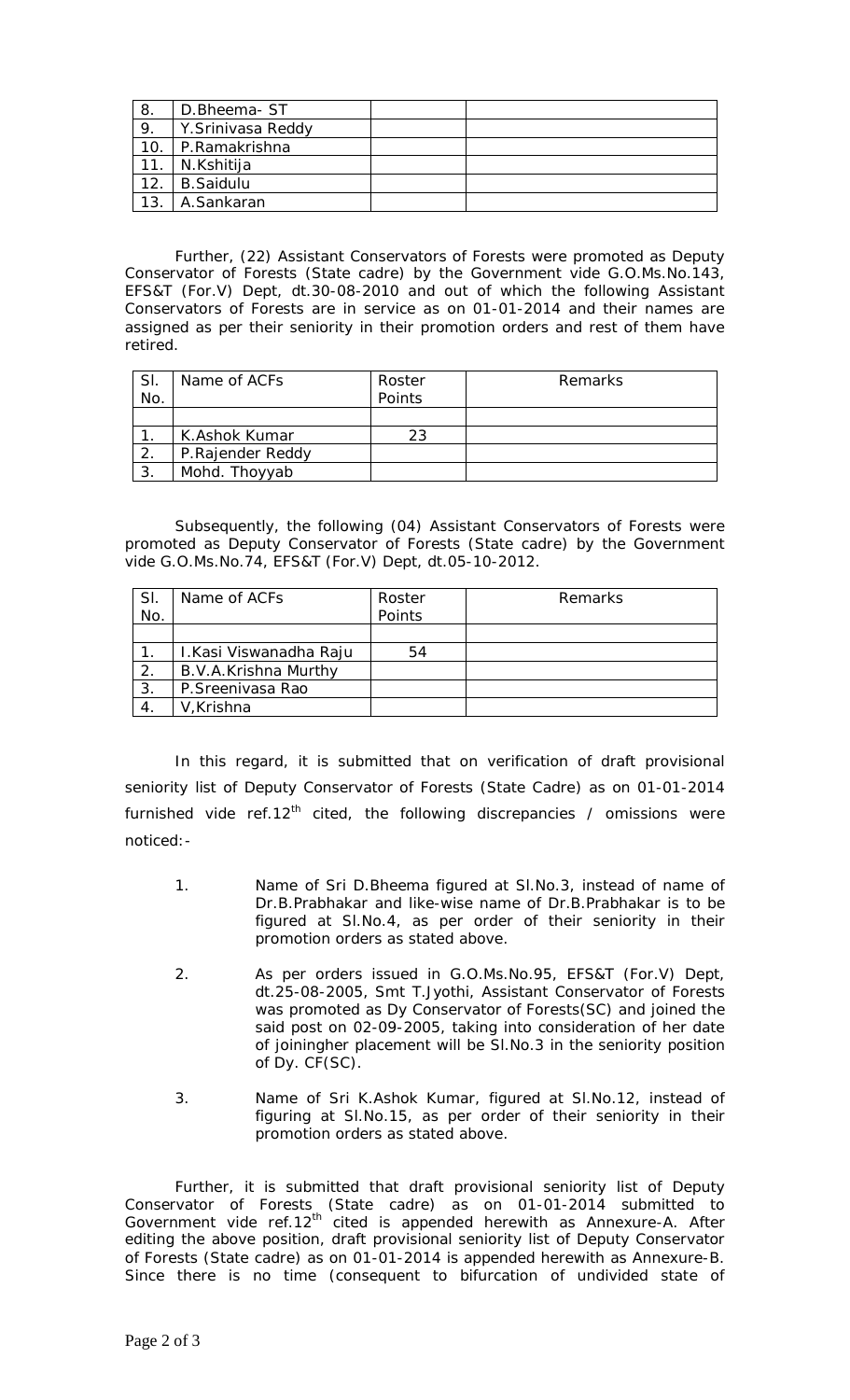| 8.  | D.Bheema-ST       |  |
|-----|-------------------|--|
| 9.  | Y.Srinivasa Reddy |  |
| 10  | P.Ramakrishna     |  |
| 11. | N.Kshitija        |  |
| 12. | <b>B.Saidulu</b>  |  |
| 13  | A.Sankaran        |  |

Further, (22) Assistant Conservators of Forests were promoted as Deputy Conservator of Forests (State cadre) by the Government vide G.O.Ms.No.143, EFS&T (For.V) Dept, dt.30-08-2010 and out of which the following Assistant Conservators of Forests are in service as on 01-01-2014 and their names are assigned as per their seniority in their promotion orders and rest of them have retired.

| SI.              | Name of ACFs     | Roster | Remarks |
|------------------|------------------|--------|---------|
| No.              |                  | Points |         |
|                  |                  |        |         |
|                  | K.Ashok Kumar    | 23     |         |
| $\overline{2}$ . | P.Rajender Reddy |        |         |
| 3                | Mohd. Thoyyab    |        |         |

Subsequently, the following (04) Assistant Conservators of Forests were promoted as Deputy Conservator of Forests (State cadre) by the Government vide G.O.Ms.No.74, EFS&T (For.V) Dept, dt.05-10-2012.

| <b>SI</b><br>No. | Name of ACFs           | Roster<br>Points | Remarks |
|------------------|------------------------|------------------|---------|
|                  |                        |                  |         |
|                  | I.Kasi Viswanadha Raju | 54               |         |
| $\overline{2}$   | B.V.A.Krishna Murthy   |                  |         |
| 3.               | P.Sreenivasa Rao       |                  |         |
|                  | V, Krishna             |                  |         |

In this regard, it is submitted that on verification of draft provisional seniority list of Deputy Conservator of Forests (State Cadre) as on 01-01-2014 furnished vide ref.12<sup>th</sup> cited, the following discrepancies / omissions were noticed:-

- 1. Name of Sri D.Bheema figured at Sl.No.3, instead of name of Dr.B.Prabhakar and like-wise name of Dr.B.Prabhakar is to be figured at Sl.No.4, as per order of their seniority in their promotion orders as stated above.
- 2. As per orders issued in G.O.Ms.No.95, EFS&T (For.V) Dept, dt.25-08-2005, Smt T.Jyothi, Assistant Conservator of Forests was promoted as Dy Conservator of Forests(SC) and joined the said post on 02-09-2005, taking into consideration of her date of joiningher placement will be Sl.No.3 in the seniority position of Dy. CF(SC).
- 3. Name of Sri K.Ashok Kumar, figured at Sl.No.12, instead of figuring at Sl.No.15, as per order of their seniority in their promotion orders as stated above.

Further, it is submitted that draft provisional seniority list of Deputy Conservator of Forests (State cadre) as on 01-01-2014 submitted to Government vide ref.12<sup>th</sup> cited is appended herewith as Annexure-A. After editing the above position, draft provisional seniority list of Deputy Conservator of Forests (State cadre) as on 01-01-2014 is appended herewith as Annexure-B. Since there is no time (consequent to bifurcation of undivided state of